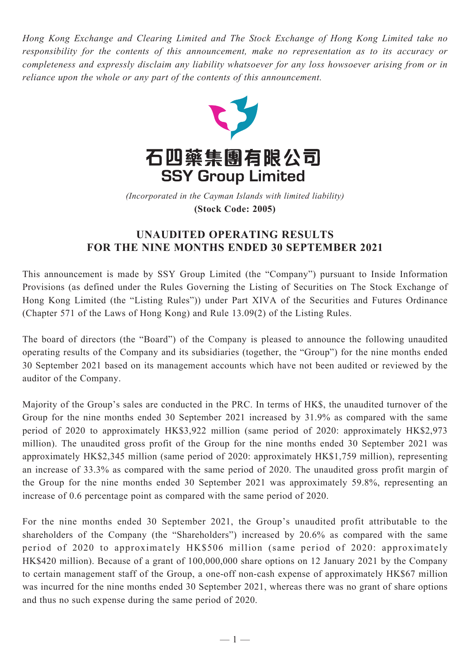*Hong Kong Exchange and Clearing Limited and The Stock Exchange of Hong Kong Limited take no responsibility for the contents of this announcement, make no representation as to its accuracy or completeness and expressly disclaim any liability whatsoever for any loss howsoever arising from or in reliance upon the whole or any part of the contents of this announcement.*



(Incorporated in the Cayman Islands with limited liability) **(Stock Code: 2005)** *(Incorporated in the Cayman Islands with limited liability)* **(Stock Code: 2005)**

## **UNAUDITED OPERATING RESULTS FOR THE NINE MONTHS ENDED 30 SEPTEMBER 2021**

This announcement is made by SSY Group Limited (the "Company") pursuant to Inside Information Provisions (as defined under the Rules Governing the Listing of Securities on The Stock Exchange of Hong Kong Limited (the "Listing Rules")) under Part XIVA of the Securities and Futures Ordinance (Chapter 571 of the Laws of Hong Kong) and Rule 13.09(2) of the Listing Rules.

The board of directors (the "Board") of the Company is pleased to announce the following unaudited operating results of the Company and its subsidiaries (together, the "Group") for the nine months ended 30 September 2021 based on its management accounts which have not been audited or reviewed by the auditor of the Company.

Majority of the Group's sales are conducted in the PRC. In terms of HK\$, the unaudited turnover of the Group for the nine months ended 30 September 2021 increased by 31.9% as compared with the same period of 2020 to approximately HK\$3,922 million (same period of 2020: approximately HK\$2,973 million). The unaudited gross profit of the Group for the nine months ended 30 September 2021 was approximately HK\$2,345 million (same period of 2020: approximately HK\$1,759 million), representing an increase of 33.3% as compared with the same period of 2020. The unaudited gross profit margin of the Group for the nine months ended 30 September 2021 was approximately 59.8%, representing an increase of 0.6 percentage point as compared with the same period of 2020.

For the nine months ended 30 September 2021, the Group's unaudited profit attributable to the shareholders of the Company (the "Shareholders") increased by 20.6% as compared with the same period of 2020 to approximately HK\$506 million (same period of 2020: approximately HK\$420 million). Because of a grant of 100,000,000 share options on 12 January 2021 by the Company to certain management staff of the Group, a one-off non-cash expense of approximately HK\$67 million was incurred for the nine months ended 30 September 2021, whereas there was no grant of share options and thus no such expense during the same period of 2020.